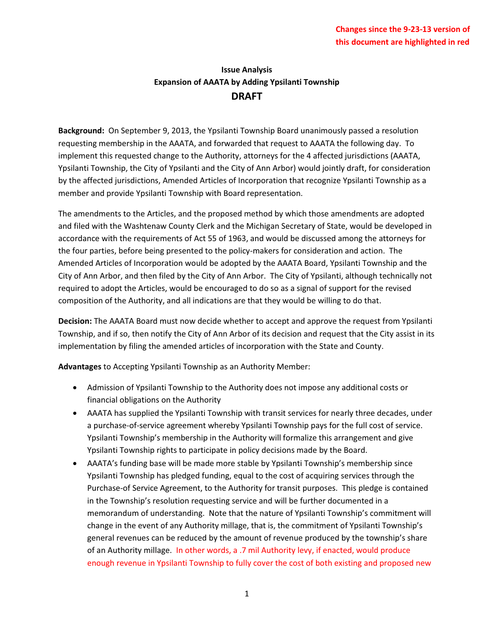## **Issue Analysis Expansion of AAATA by Adding Ypsilanti Township DRAFT**

**Background:** On September 9, 2013, the Ypsilanti Township Board unanimously passed a resolution requesting membership in the AAATA, and forwarded that request to AAATA the following day. To implement this requested change to the Authority, attorneys for the 4 affected jurisdictions (AAATA, Ypsilanti Township, the City of Ypsilanti and the City of Ann Arbor) would jointly draft, for consideration by the affected jurisdictions, Amended Articles of Incorporation that recognize Ypsilanti Township as a member and provide Ypsilanti Township with Board representation.

The amendments to the Articles, and the proposed method by which those amendments are adopted and filed with the Washtenaw County Clerk and the Michigan Secretary of State, would be developed in accordance with the requirements of Act 55 of 1963, and would be discussed among the attorneys for the four parties, before being presented to the policy-makers for consideration and action. The Amended Articles of Incorporation would be adopted by the AAATA Board, Ypsilanti Township and the City of Ann Arbor, and then filed by the City of Ann Arbor. The City of Ypsilanti, although technically not required to adopt the Articles, would be encouraged to do so as a signal of support for the revised composition of the Authority, and all indications are that they would be willing to do that.

**Decision:** The AAATA Board must now decide whether to accept and approve the request from Ypsilanti Township, and if so, then notify the City of Ann Arbor of its decision and request that the City assist in its implementation by filing the amended articles of incorporation with the State and County.

**Advantages** to Accepting Ypsilanti Township as an Authority Member:

- Admission of Ypsilanti Township to the Authority does not impose any additional costs or financial obligations on the Authority
- AAATA has supplied the Ypsilanti Township with transit services for nearly three decades, under a purchase-of-service agreement whereby Ypsilanti Township pays for the full cost of service. Ypsilanti Township's membership in the Authority will formalize this arrangement and give Ypsilanti Township rights to participate in policy decisions made by the Board.
- AAATA's funding base will be made more stable by Ypsilanti Township's membership since Ypsilanti Township has pledged funding, equal to the cost of acquiring services through the Purchase-of Service Agreement, to the Authority for transit purposes. This pledge is contained in the Township's resolution requesting service and will be further documented in a memorandum of understanding. Note that the nature of Ypsilanti Township's commitment will change in the event of any Authority millage, that is, the commitment of Ypsilanti Township's general revenues can be reduced by the amount of revenue produced by the township's share of an Authority millage. In other words, a .7 mil Authority levy, if enacted, would produce enough revenue in Ypsilanti Township to fully cover the cost of both existing and proposed new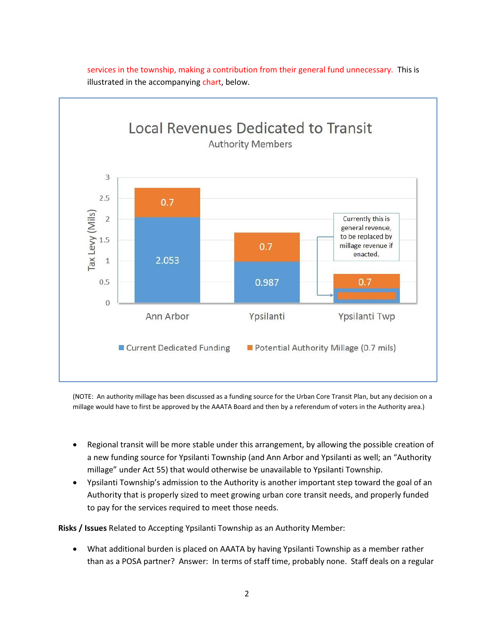

services in the township, making a contribution from their general fund unnecessary. This is illustrated in the accompanying chart, below.

(NOTE: An authority millage has been discussed as a funding source for the Urban Core Transit Plan, but any decision on a millage would have to first be approved by the AAATA Board and then by a referendum of voters in the Authority area.)

- Regional transit will be more stable under this arrangement, by allowing the possible creation of a new funding source for Ypsilanti Township (and Ann Arbor and Ypsilanti as well; an "Authority millage" under Act 55) that would otherwise be unavailable to Ypsilanti Township.
- Ypsilanti Township's admission to the Authority is another important step toward the goal of an Authority that is properly sized to meet growing urban core transit needs, and properly funded to pay for the services required to meet those needs.

**Risks / Issues** Related to Accepting Ypsilanti Township as an Authority Member:

x What additional burden is placed on AAATA by having Ypsilanti Township as a member rather than as a POSA partner? Answer: In terms of staff time, probably none. Staff deals on a regular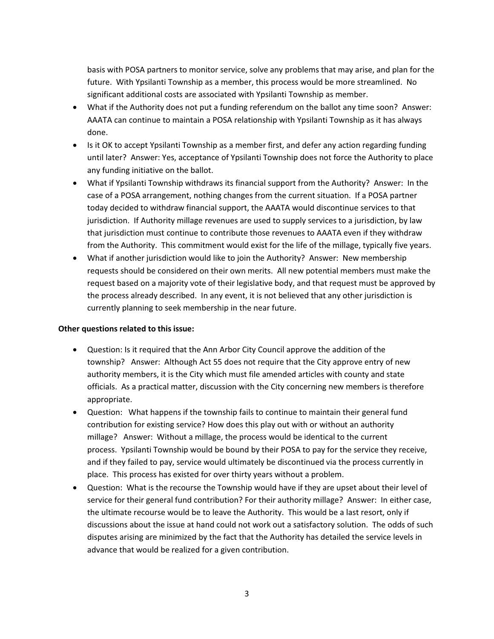basis with POSA partners to monitor service, solve any problems that may arise, and plan for the future. With Ypsilanti Township as a member, this process would be more streamlined. No significant additional costs are associated with Ypsilanti Township as member.

- What if the Authority does not put a funding referendum on the ballot any time soon? Answer: AAATA can continue to maintain a POSA relationship with Ypsilanti Township as it has always done.
- Is it OK to accept Ypsilanti Township as a member first, and defer any action regarding funding until later? Answer: Yes, acceptance of Ypsilanti Township does not force the Authority to place any funding initiative on the ballot.
- What if Ypsilanti Township withdraws its financial support from the Authority? Answer: In the case of a POSA arrangement, nothing changes from the current situation. If a POSA partner today decided to withdraw financial support, the AAATA would discontinue services to that jurisdiction. If Authority millage revenues are used to supply services to a jurisdiction, by law that jurisdiction must continue to contribute those revenues to AAATA even if they withdraw from the Authority. This commitment would exist for the life of the millage, typically five years.
- What if another jurisdiction would like to join the Authority? Answer: New membership requests should be considered on their own merits. All new potential members must make the request based on a majority vote of their legislative body, and that request must be approved by the process already described. In any event, it is not believed that any other jurisdiction is currently planning to seek membership in the near future.

## **Other questions related to this issue:**

- Question: Is it required that the Ann Arbor City Council approve the addition of the township? Answer: Although Act 55 does not require that the City approve entry of new authority members, it is the City which must file amended articles with county and state officials. As a practical matter, discussion with the City concerning new members is therefore appropriate.
- Question: What happens if the township fails to continue to maintain their general fund contribution for existing service? How does this play out with or without an authority millage? Answer: Without a millage, the process would be identical to the current process. Ypsilanti Township would be bound by their POSA to pay for the service they receive, and if they failed to pay, service would ultimately be discontinued via the process currently in place. This process has existed for over thirty years without a problem.
- Question: What is the recourse the Township would have if they are upset about their level of service for their general fund contribution? For their authority millage? Answer: In either case, the ultimate recourse would be to leave the Authority. This would be a last resort, only if discussions about the issue at hand could not work out a satisfactory solution. The odds of such disputes arising are minimized by the fact that the Authority has detailed the service levels in advance that would be realized for a given contribution.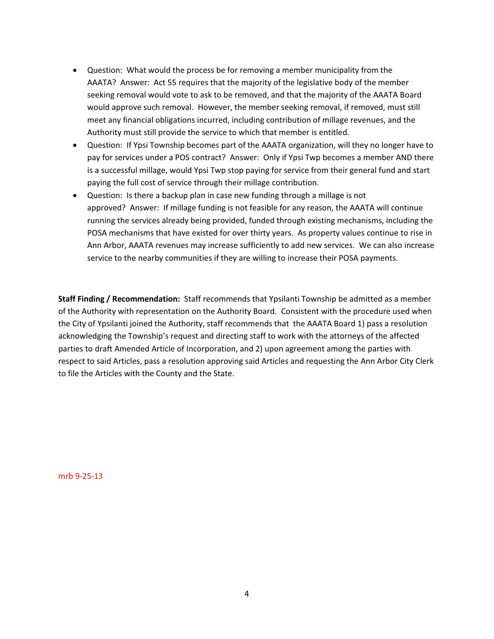- Question: What would the process be for removing a member municipality from the AAATA? Answer: Act 55 requires that the majority of the legislative body of the member seeking removal would vote to ask to be removed, and that the majority of the AAATA Board would approve such removal. However, the member seeking removal, if removed, must still meet any financial obligations incurred, including contribution of millage revenues, and the Authority must still provide the service to which that member is entitled.
- Question: If Ypsi Township becomes part of the AAATA organization, will they no longer have to pay for services under a POS contract? Answer: Only if Ypsi Twp becomes a member AND there is a successful millage, would Ypsi Twp stop paying for service from their general fund and start paying the full cost of service through their millage contribution.
- Question: Is there a backup plan in case new funding through a millage is not approved? Answer: If millage funding is not feasible for any reason, the AAATA will continue running the services already being provided, funded through existing mechanisms, including the POSA mechanisms that have existed for over thirty years. As property values continue to rise in Ann Arbor, AAATA revenues may increase sufficiently to add new services. We can also increase service to the nearby communities if they are willing to increase their POSA payments.

**Staff Finding / Recommendation:** Staff recommends that Ypsilanti Township be admitted as a member of the Authority with representation on the Authority Board. Consistent with the procedure used when the City of Ypsilanti joined the Authority, staff recommends that the AAATA Board 1) pass a resolution acknowledging the Township's request and directing staff to work with the attorneys of the affected parties to draft Amended Article of Incorporation, and 2) upon agreement among the parties with respect to said Articles, pass a resolution approving said Articles and requesting the Ann Arbor City Clerk to file the Articles with the County and the State.

mrb 9-25-13